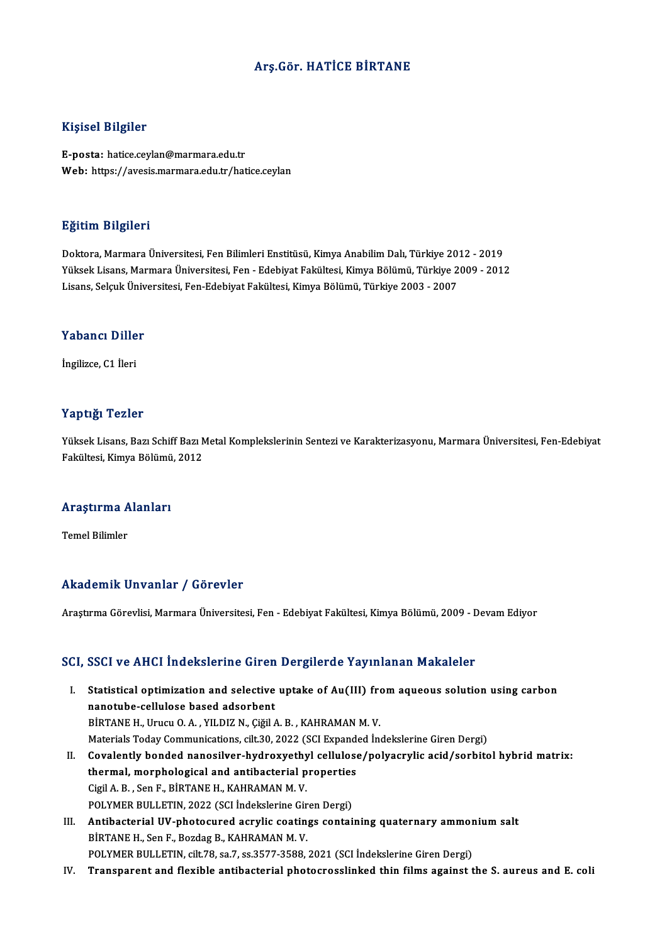### Arş.Gör.HATİCE BİRTANE

#### Kişisel Bilgiler

E-posta: hatice.ceylan@marmara.edu.tr Web: https://avesis.marmara.edu.tr/hatice.ceylan

#### Eğitim Bilgileri

Doktora, Marmara Üniversitesi, Fen Bilimleri Enstitüsü, Kimya Anabilim Dalı, Türkiye 2012 - 2019 YüksekLisans,MarmaraÜniversitesi,Fen-EdebiyatFakültesi,KimyaBölümü,Türkiye 2009 -2012 Lisans, Selçuk Üniversitesi, Fen-Edebiyat Fakültesi, Kimya Bölümü, Türkiye 2003 - 2007

## Lisans, seiçuk öniv<br>Yabancı Diller Y<mark>abancı Dille</mark><br>İngilizce, C1 İleri

# İngilizce, C1 İleri<br>Yaptığı Tezler

Yüksek Lisans, Bazı Schiff Bazı Metal Komplekslerinin Sentezi ve Karakterizasyonu, Marmara Üniversitesi, Fen-Edebiyat Fakültesi, Kimya Bölümü, 2012

## rakullesi, Kimya Bolumu<br>Araştırma Alanları <mark>Araştırma A</mark><br>Temel Bilimler

# Akademik Unvanlar / Görevler

AraştırmaGörevlisi,MarmaraÜniversitesi,Fen-EdebiyatFakültesi,KimyaBölümü,2009 -DevamEdiyor

#### SCI, SSCI ve AHCI İndekslerine Giren Dergilerde Yayınlanan Makaleler

- CI, SSCI ve AHCI Indekslerine Giren Dergilerde Yayınlanan Makaleler<br>I. Statistical optimization and selective uptake of Au(III) from aqueous solution using carbon<br>Panetube callulase based adsorbent SECT TO THIST HILCHOLOTHIC STICK<br>Statistical optimization and selective<br>piptane H Urugu O A VILDIZ N Civil ( Statistical optimization and selective uptake of Au(III) from<br>nanotube-cellulose based adsorbent<br>BİRTANE H., Urucu O.A. , YILDIZ N., Çiğil A. B. , KAHRAMAN M. V.<br>Materiala Today Communisations, silt 20, 2022 (SCI Evnanded nanotube-cellulose based adsorbent<br>BİRTANE H., Urucu O. A. , YILDIZ N., Çiğil A. B. , KAHRAMAN M. V.<br>Materials Today Communications, cilt.30, 2022 (SCI Expanded İndekslerine Giren Dergi) BİRTANE H., Urucu O. A. , YILDIZ N., Çiğil A. B. , KAHRAMAN M. V.<br>Materials Today Communications, cilt.30, 2022 (SCI Expanded Indekslerine Giren Dergi)<br>II. Covalently bonded nanosilver-hydroxyethyl cellulose/polyacrylic ac
- Materials Today Communications, cilt.30, 2022 (SCI Expand<br>Covalently bonded nanosilver-hydroxyethyl cellulose<br>thermal, morphological and antibacterial properties<br>Ciril A. B., Son E. PIPTANE H. KAHRAMAN M. V. Covalently bonded nanosilver-hydroxyethy<br>thermal, morphological and antibacterial p<br>Cigil A.B., Sen F., BİRTANE H., KAHRAMAN M. V.<br>POLYMER BULLETIN, 2022 (SCLİndekalerine Gir thermal, morphological and antibacterial properties<br>Cigil A. B. , Sen F., BİRTANE H., KAHRAMAN M. V.<br>POLYMER BULLETIN, 2022 (SCI İndekslerine Giren Dergi) Cigil A. B., Sen F., BİRTANE H., KAHRAMAN M. V.<br>POLYMER BULLETIN, 2022 (SCI İndekslerine Giren Dergi)<br>III. Antibacterial UV-photocured acrylic coatings containing quaternary ammonium salt<br>PİRTANE H. Sen E. Perdeg B. KAHRAM
- POLYMER BULLETIN, 2022 (SCI İndekslerine Gir<br>Antibacterial UV-photocured acrylic coatin;<br>BİRTANE H., Sen F., Bozdag B., KAHRAMAN M. V.<br>POLYMER BLILLETIN, silt 79, sa 7, sa 2577, 2599 Antibacterial UV-photocured acrylic coatings containing quaternary ammor<br>BİRTANE H., Sen F., Bozdag B., KAHRAMAN M. V.<br>POLYMER BULLETIN, cilt.78, sa.7, ss.3577-3588, 2021 (SCI İndekslerine Giren Dergi)<br>Transparant and floy BİRTANE H., Sen F., Bozdag B., KAHRAMAN M. V.<br>POLYMER BULLETIN, cilt.78, sa.7, ss.3577-3588, 2021 (SCI İndekslerine Giren Dergi)<br>IV. Transparent and flexible antibacterial photocrosslinked thin films against the S. aur
-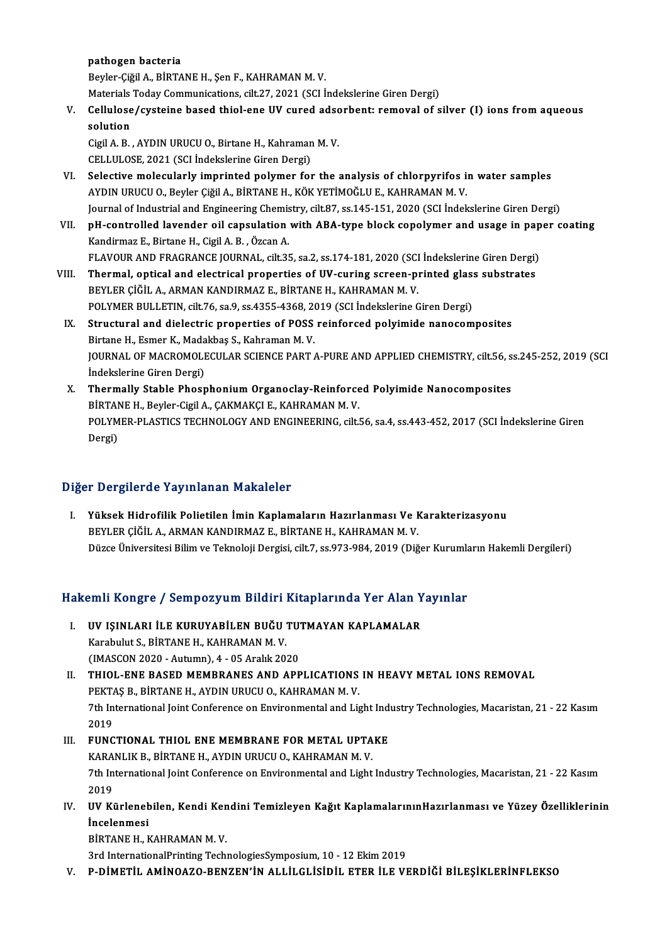pathogen bacteria

Beyler-Çiğil A., BİRTANE H., Şen F., KAHRAMAN M.V.

Materials Today Communications, cilt.27, 2021 (SCI İndekslerine Giren Dergi)

Beyler-Çiğil A., BİRTANE H., Şen F., KAHRAMAN M. V.<br>Materials Today Communications, cilt.27, 2021 (SCI İndekslerine Giren Dergi)<br>V. Cellulose/cysteine based thiol-ene UV cured adsorbent: removal of silver (I) ions from aqu Materials<br>Cellulose<br>solution<br>Cigil A P Cellulose/cysteine based thiol-ene UV cured adsc<br>solution<br>Cigil A. B. , AYDIN URUCU O., Birtane H., Kahraman M. V.<br>CELLULOSE 2021 (SCLIndekskrine Ciren Dergi)

solution<br>Cigil A. B. , AYDIN URUCU O., Birtane H., Kahraman M. V.<br>CELLULOSE, 2021 (SCI İndekslerine Giren Dergi)

- VI. Selective molecularly imprinted polymer for the analysis of chlorpyrifos in water samples AYDIN URUCU O., Beyler Çiğil A., BİRTANE H., KÖK YETİMOĞLU E., KAHRAMAN M. V. Selective molecularly imprinted polymer for the analysis of chlorpyrifos in water samples<br>AYDIN URUCU O., Beyler Çiğil A., BİRTANE H., KÖK YETİMOĞLU E., KAHRAMAN M. V.<br>Journal of Industrial and Engineering Chemistry, cilt. AYDIN URUCU 0., Beyler Çiğil A., BİRTANE H., KÖK YETİMOĞLU E., KAHRAMAN M. V.<br>Journal of Industrial and Engineering Chemistry, cilt.87, ss.145-151, 2020 (SCI İndekslerine Giren Dergi)<br>VII. pH-controlled lavender oil capsul
- Journal of Industrial and Engineering Chemis<br>pH-controlled lavender oil capsulation<br>Kandirmaz E., Birtane H., Cigil A. B. , Özcan A.<br>ELAVOUR AND ERACRANCE JOURNAL .cilt 25 pH-controlled lavender oil capsulation with ABA-type block copolymer and usage in pap<br>Kandirmaz E., Birtane H., Cigil A. B. , Özcan A.<br>FLAVOUR AND FRAGRANCE JOURNAL, cilt.35, sa.2, ss.174-181, 2020 (SCI İndekslerine Giren Kandirmaz E., Birtane H., Cigil A. B. , Özcan A.<br>FLAVOUR AND FRAGRANCE JOURNAL, cilt.35, sa.2, ss.174-181, 2020 (SCI İndekslerine Giren Dergi)<br>VIII. Thermal, optical and electrical properties of UV-curing screen-printed gl
- FLAVOUR AND FRAGRANCE JOURNAL, cilt.35, sa.2, ss.174-181, 2020 (SCI<br>Thermal, optical and electrical properties of UV-curing screen-pi<br>BEYLER ÇİĞİL A., ARMAN KANDIRMAZ E., BİRTANE H., KAHRAMAN M. V.<br>POLYMER BULLETIN, silt 7 Thermal, optical and electrical properties of UV-curing screen-printed glas:<br>BEYLER ÇİĞİL A., ARMAN KANDIRMAZ E., BİRTANE H., KAHRAMAN M. V.<br>POLYMER BULLETIN, cilt.76, sa.9, ss.4355-4368, 2019 (SCI İndekslerine Giren Dergi POLYMER BULLETIN, cilt.76, sa.9, ss.4355-4368, 2019 (SCI İndekslerine Giren Dergi)
- BEYLER ÇİĞİL A., ARMAN KANDIRMAZ E., BİRTANE H., KAHRAMAN M. V.<br>POLYMER BULLETIN, cilt.76, sa.9, ss.4355-4368, 2019 (SCI İndekslerine Giren Dergi)<br>IX. Structural and dielectric properties of POSS reinforced polyimide nanoc JOURNAL OF MACROMOLECULAR SCIENCE PART A-PURE AND APPLIED CHEMISTRY, cilt.56, ss.245-252, 2019 (SCI İndekslerine Giren Dergi) JOURNAL OF MACROMOLECULAR SCIENCE PART A-PURE AND APPLIED CHEMISTRY, cilt.56, s<br>indekslerine Giren Dergi)<br>X. Thermally Stable Phosphonium Organoclay-Reinforced Polyimide Nanocomposites<br>PREME H. Porlor Civil A. CAKMAKCLE, K
- İndekslerine Giren Dergi)<br>Thermally Stable Phosphonium Organoclay-Reinforce<br>BİRTANE H., Beyler-Cigil A., ÇAKMAKÇI E., KAHRAMAN M. V.<br>POLYMER BLASTICS TECHNOLOCY AND ENCINEERING silt l Thermally Stable Phosphonium Organoclay-Reinforced Polyimide Nanocomposites<br>BİRTANE H., Beyler-Cigil A., ÇAKMAKÇI E., KAHRAMAN M. V.<br>POLYMER-PLASTICS TECHNOLOGY AND ENGINEERING, cilt.56, sa.4, ss.443-452, 2017 (SCI İndeksl BİRTAI<br>POLYM<br>Dergi)

# Dergi)<br>Diğer Dergilerde Yayınlanan Makaleler

I. Yüksek Hidrofilik Polietilen İmin Kaplamaların Hazırlanması Ve Karakterizasyonu BEYLER ÇİĞİL A., ARMAN KANDIRMAZ E., BİRTANE H., KAHRAMAN M. V. Düzce Üniversitesi Bilim ve Teknoloji Dergisi, cilt.7, ss.973-984, 2019 (Diğer Kurumların Hakemli Dergileri)

# Duzce Universitesi Bilim ve Teknoloji Dergisi, citt.7, ss.973-984, 2019 (Diger Kurumia<br>Hakemli Kongre / Sempozyum Bildiri Kitaplarında Yer Alan Yayınlar

akemli Kongre / Sempozyum Bildiri Kitaplarında Yer Alan Y<br>I. UV IŞINLARI İLE KURUYABİLEN BUĞU TUTMAYAN KAPLAMALAR<br>Karabulut S. BİRTANE H. KAHRAMAN M. V. I. UV IŞINLARI İLE KURUYABİLEN BUĞU TUTMAYAN KAPLAMALAR<br>Karabulut S., BİRTANE H., KAHRAMAN M. V. (IMASCON2020 -Autumn),4 -05Aralık2020

II. THIOL-ENE BASED MEMBRANES AND APPLICATIONS IN HEAVY METAL IONS REMOVAL (IMASCON 2020 - Autumn), 4 - 05 Aralık 2020<br>THIOL-ENE BASED MEMBRANES AND APPLICATIONS<br>PEKTAŞ B., BİRTANE H., AYDIN URUCU O., KAHRAMAN M. V.<br>7th International leint Conference on Environmental and Li 7th International Joint Conference on Environmental and Light Industry Technologies, Macaristan, 21 - 22 Kasım<br>2019 PEKTA<br>7th In<br>2019<br>EUNC The International Joint Conference on Environmental and Light Ind<br>
2019<br>
III. FUNCTIONAL THIOL ENE MEMBRANE FOR METAL UPTAKE<br>
EARANLIE REPETANE HANDIN UPICU O FAURAMAN M.V.

### 2019<br>FUNCTIONAL THIOL ENE MEMBRANE FOR METAL UPTA<br>KARANLIK B., BİRTANE H., AYDIN URUCU O., KAHRAMAN M. V.<br>7th International leint Conference on Environmental and Light 7th International Joint Conference on Environmental and Light Industry Technologies, Macaristan, 21 - 22 Kasım<br>2019 KARANLIK B., BİRTANE H., AYDIN URUCU O., KAHRAMAN M.V. 7th International Joint Conference on Environmental and Light Industry Technologies, Macaristan, 21 - 22 Kasım<br>1991 - 2019<br>IV. UV Kürlenebilen, Kendi Kendini Temizleyen Kağıt KaplamalarınınHazırlanması ve Yüzey Özellikleri

2019<br>UV Kürlenet<br>İncelenmesi<br>PintANE H. K UV Kürlenebilen, Kendi Ken<br>İncelenmesi<br>BİRTANE H., KAHRAMAN M. V.<br><sup>2nd IntonationalDrinting Tech</sup> 1 incelenmesi<br>1987 - Birtang II, Kahraman M. V.<br>3rd InternationalPrinting TechnologiesSymposium, 10 - 12 Ekim

V. P-DİMETİL AMİNOAZO-BENZEN'İN ALLİLGLİSİDİL ETER İLE VERDİĞİ BİLEŞİKLERİNFLEKSO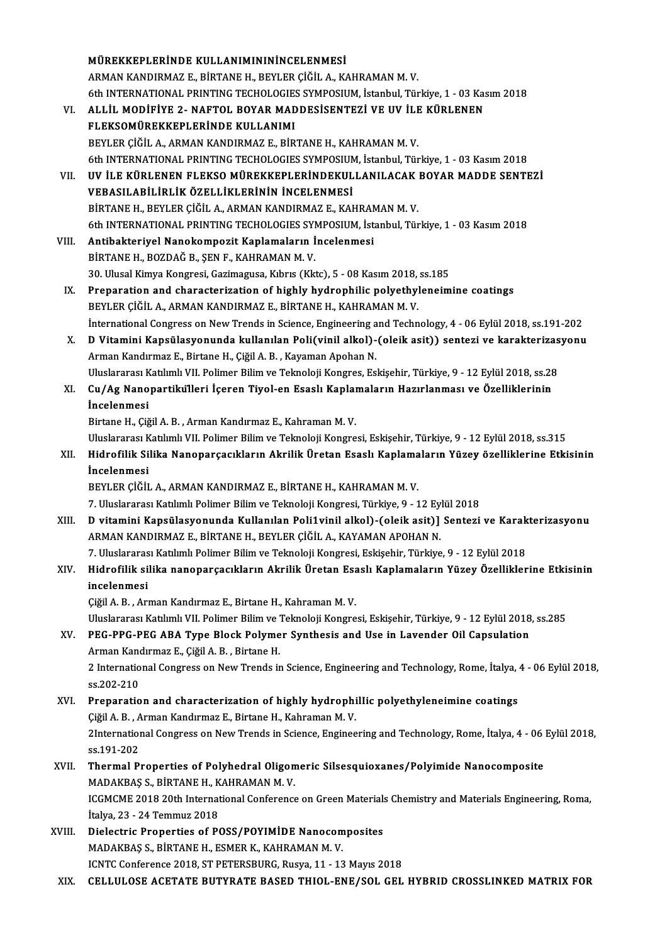|        | MÜREKKEPLERINDE KULLANIMINININCELENMESI                                                                         |
|--------|-----------------------------------------------------------------------------------------------------------------|
|        | ARMAN KANDIRMAZ E., BİRTANE H., BEYLER ÇİĞİL A., KAHRAMAN M.V.                                                  |
|        | 6th INTERNATIONAL PRINTING TECHOLOGIES SYMPOSIUM, İstanbul, Türkiye, 1 - 03 Kasım 2018                          |
| VI.    | ALLİL MODİFİYE 2- NAFTOL BOYAR MADDESİSENTEZİ VE UV İLE KÜRLENEN                                                |
|        | FLEKSOMÜREKKEPLERİNDE KULLANIMI                                                                                 |
|        | BEYLER ÇİĞİL A., ARMAN KANDIRMAZ E., BİRTANE H., KAHRAMAN M.V.                                                  |
|        | 6th INTERNATIONAL PRINTING TECHOLOGIES SYMPOSIUM, İstanbul, Türkiye, 1 - 03 Kasım 2018                          |
| VII.   | UV İLE KÜRLENEN FLEKSO MÜREKKEPLERİNDEKULLANILACAK BOYAR MADDE SENTEZİ                                          |
|        | VEBASILABİLİRLİK ÖZELLİKLERİNİN İNCELENMESİ                                                                     |
|        | BİRTANE H., BEYLER ÇİĞİL A., ARMAN KANDIRMAZ E., KAHRAMAN M.V.                                                  |
|        | 6th INTERNATIONAL PRINTING TECHOLOGIES SYMPOSIUM, İstanbul, Türkiye, 1 - 03 Kasım 2018                          |
| VIII.  | Antibakteriyel Nanokompozit Kaplamaların İncelenmesi                                                            |
|        | BİRTANE H., BOZDAĞ B., ŞEN F., KAHRAMAN M. V.                                                                   |
|        | 30. Ulusal Kimya Kongresi, Gazimagusa, Kıbrıs (Kktc), 5 - 08 Kasım 2018, ss.185                                 |
| IX.    | Preparation and characterization of highly hydrophilic polyethyleneimine coatings                               |
|        | BEYLER ÇİĞİL A., ARMAN KANDIRMAZ E., BİRTANE H., KAHRAMAN M.V.                                                  |
|        | International Congress on New Trends in Science, Engineering and Technology, 4 - 06 Eylül 2018, ss.191-202      |
| X.     | D Vitamini Kapsülasyonunda kullanılan Poli(vinil alkol)-(oleik asit)) sentezi ve karakterizasyonu               |
|        | Arman Kandırmaz E., Birtane H., Çiğil A. B., Kayaman Apohan N.                                                  |
|        | Uluslararası Katılımlı VII. Polimer Bilim ve Teknoloji Kongres, Eskişehir, Türkiye, 9 - 12 Eylül 2018, ss.28    |
| XI.    | Cu/Ag Nanopartikulleri İçeren Tiyol-en Esaslı Kaplamaların Hazırlanması ve Özelliklerinin                       |
|        | İncelenmesi                                                                                                     |
|        | Birtane H., Çiğil A. B., Arman Kandırmaz E., Kahraman M. V.                                                     |
|        | Uluslararası Katılımlı VII. Polimer Bilim ve Teknoloji Kongresi, Eskişehir, Türkiye, 9 - 12 Eylül 2018, ss.315  |
| XII.   | Hidrofilik Silika Nanoparçacıkların Akrilik Üretan Esaslı Kaplamaların Yüzey özelliklerine Etkisinin            |
|        | İncelenmesi<br>BEYLER ÇIĞIL A., ARMAN KANDIRMAZ E., BİRTANE H., KAHRAMAN M.V.                                   |
|        | 7. Uluslararası Katılımlı Polimer Bilim ve Teknoloji Kongresi, Türkiye, 9 - 12 Eylül 2018                       |
| XIII.  | D vitamini Kapsülasyonunda Kullanılan Poli1vinil alkol)-(oleik asit)] Sentezi ve Karakterizasyonu               |
|        | ARMAN KANDIRMAZ E., BİRTANE H., BEYLER ÇİĞİL A., KAYAMAN APOHAN N.                                              |
|        | 7. Uluslararası Katılımlı Polimer Bilim ve Teknoloji Kongresi, Eskişehir, Türkiye, 9 - 12 Eylül 2018            |
| XIV.   | Hidrofilik silika nanoparçacıkların Akrilik Üretan Esaslı Kaplamaların Yüzey Özelliklerine Etkisinin            |
|        | incelenmesi                                                                                                     |
|        | Çiğil A. B., Arman Kandırmaz E., Birtane H., Kahraman M. V.                                                     |
|        | Uluslararası Katılımlı VII. Polimer Bilim ve Teknoloji Kongresi, Eskişehir, Türkiye, 9 - 12 Eylül 2018, ss.285  |
| XV.    | PEG-PPG-PEG ABA Type Block Polymer Synthesis and Use in Lavender Oil Capsulation                                |
|        | Arman Kandırmaz E., Çiğil A. B., Birtane H.                                                                     |
|        | 2 International Congress on New Trends in Science, Engineering and Technology, Rome, İtalya, 4 - 06 Eylül 2018, |
|        | ss 202-210                                                                                                      |
| XVI.   | Preparation and characterization of highly hydrophillic polyethyleneimine coatings                              |
|        | Çiğil A. B., Arman Kandırmaz E., Birtane H., Kahraman M. V.                                                     |
|        | 2International Congress on New Trends in Science, Engineering and Technology, Rome, İtalya, 4 - 06 Eylül 2018,  |
|        | ss 191-202                                                                                                      |
| XVII.  | Thermal Properties of Polyhedral Oligomeric Silsesquioxanes/Polyimide Nanocomposite                             |
|        | MADAKBAŞ S., BİRTANE H., KAHRAMAN M. V.                                                                         |
|        | ICGMCME 2018 20th International Conference on Green Materials Chemistry and Materials Engineering, Roma,        |
|        | İtalya, 23 - 24 Temmuz 2018                                                                                     |
| XVIII. | Dielectric Properties of POSS/POYIMIDE Nanocomposites                                                           |
|        | MADAKBAŞ S., BİRTANE H., ESMER K., KAHRAMAN M. V.                                                               |
|        | ICNTC Conference 2018, ST PETERSBURG, Rusya, 11 - 13 Mayıs 2018                                                 |
| XIX.   | CELLULOSE ACETATE BUTYRATE BASED THIOL-ENE/SOL GEL HYBRID CROSSLINKED MATRIX FOR                                |